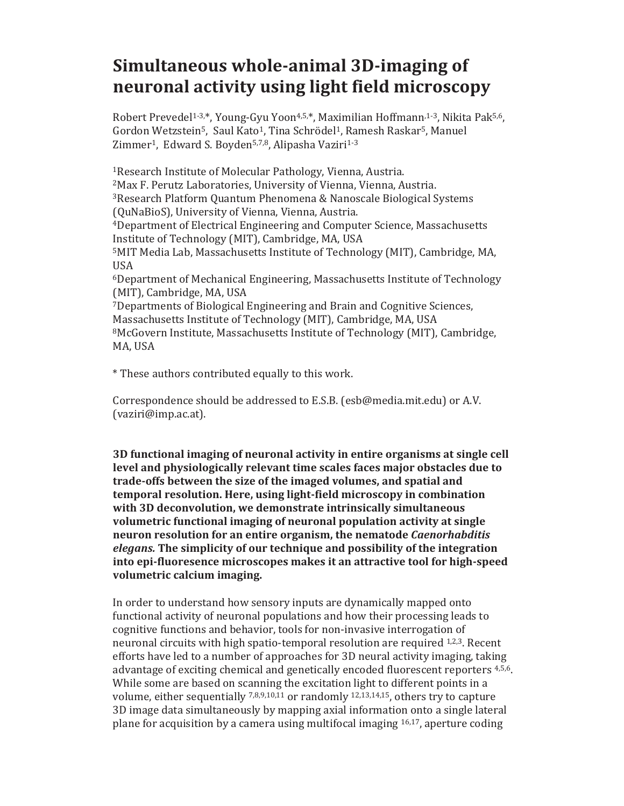# **Simultaneous whole-animal 3D-imaging of neuronal activity using light field microscopy**

Robert Prevedel<sup>1-3,\*</sup>, Young-Gyu Yoon<sup>4,5,\*</sup>, Maximilian Hoffmann<sup>,1-3</sup>, Nikita Pak<sup>5,6</sup>, Gordon Wetzstein5, Saul Kato1, Tina Schrödel1, Ramesh Raskar5, Manuel Zimmer<sup>1</sup>, Edward S. Boyden<sup>5,7,8</sup>, Alipasha Vaziri<sup>1-3</sup>

1Research Institute of Molecular Pathology, Vienna, Austria. 2Max F. Perutz Laboratories, University of Vienna, Vienna, Austria. 3Research Platform Quantum Phenomena & Nanoscale Biological Systems (QuNaBioS), University of Vienna, Vienna, Austria. 4Department of Electrical Engineering and Computer Science, Massachusetts Institute of Technology (MIT), Cambridge, MA, USA 5MIT Media Lab, Massachusetts Institute of Technology (MIT), Cambridge, MA, USA 6Department of Mechanical Engineering, Massachusetts Institute of Technology (MIT), Cambridge, MA, USA 7Departments of Biological Engineering and Brain and Cognitive Sciences, Massachusetts Institute of Technology (MIT), Cambridge, MA, USA

8McGovern Institute, Massachusetts Institute of Technology (MIT), Cambridge, MA, USA

\* These authors contributed equally to this work.

Correspondence should be addressed to E.S.B. (esb@media.mit.edu) or A.V. (vaziri@imp.ac.at).

**3D functional imaging of neuronal activity in entire organisms at single cell level and physiologically relevant time scales faces major obstacles due to trade-offs between the size of the imaged volumes, and spatial and temporal resolution. Here, using light-field microscopy in combination with 3D deconvolution, we demonstrate intrinsically simultaneous volumetric functional imaging of neuronal population activity at single neuron resolution for an entire organism, the nematode** *Caenorhabditis elegans.* **The simplicity of our technique and possibility of the integration into epi-fluoresence microscopes makes it an attractive tool for high-speed volumetric calcium imaging.** 

In order to understand how sensory inputs are dynamically mapped onto functional activity of neuronal populations and how their processing leads to cognitive functions and behavior, tools for non-invasive interrogation of neuronal circuits with high spatio-temporal resolution are required <sup>1,2,3</sup>. Recent efforts have led to a number of approaches for 3D neural activity imaging, taking advantage of exciting chemical and genetically encoded fluorescent reporters 4,5,6. While some are based on scanning the excitation light to different points in a volume, either sequentially  $7,8,9,10,11$  or randomly  $12,13,14,15$ , others try to capture 3D image data simultaneously by mapping axial information onto a single lateral plane for acquisition by a camera using multifocal imaging 16,17, aperture coding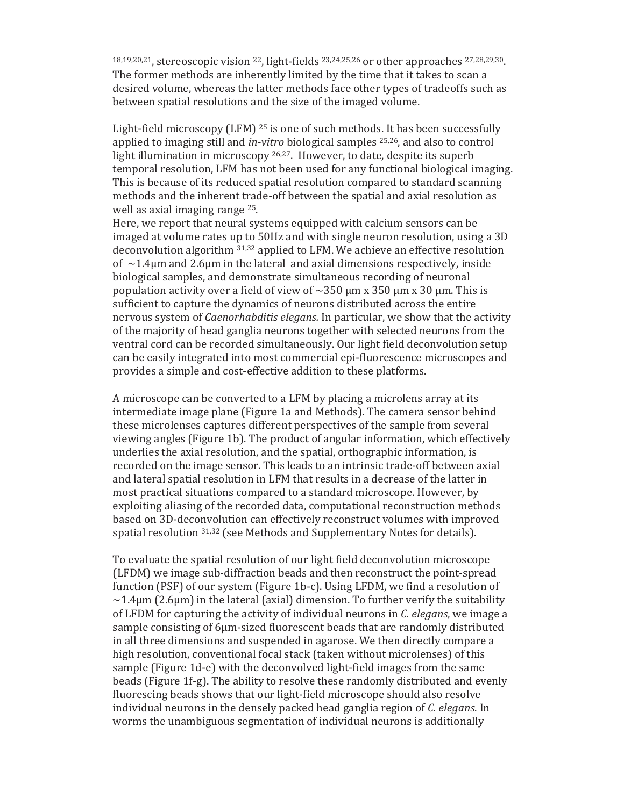18,19,20,21, stereoscopic vision <sup>22</sup>, light-fields <sup>23,24,25,26</sup> or other approaches <sup>27,28,29,30</sup>. The former methods are inherently limited by the time that it takes to scan a desired volume, whereas the latter methods face other types of tradeoffs such as between spatial resolutions and the size of the imaged volume.

Light-field microscopy (LFM) 25 is one of such methods. It has been successfully applied to imaging still and *in-vitro* biological samples 25,26, and also to control light illumination in microscopy <sup>26,27</sup>. However, to date, despite its superb temporal resolution, LFM has not been used for any functional biological imaging. This is because of its reduced spatial resolution compared to standard scanning methods and the inherent trade-off between the spatial and axial resolution as well as axial imaging range 25.

Here, we report that neural systems equipped with calcium sensors can be imaged at volume rates up to 50Hz and with single neuron resolution, using a 3D deconvolution algorithm  $31,32$  applied to LFM. We achieve an effective resolution of  $\sim$ 1.4 $\mu$ m and 2.6 $\mu$ m in the lateral and axial dimensions respectively, inside biological samples, and demonstrate simultaneous recording of neuronal population activity over a field of view of  $\sim$ 350  $\mu$ m x 350  $\mu$ m x 30  $\mu$ m. This is sufficient to capture the dynamics of neurons distributed across the entire nervous system of *Caenorhabditis elegans.* In particular, we show that the activity of the majority of head ganglia neurons together with selected neurons from the ventral cord can be recorded simultaneously. Our light field deconvolution setup can be easily integrated into most commercial epi-fluorescence microscopes and provides a simple and cost-effective addition to these platforms.

A microscope can be converted to a LFM by placing a microlens array at its intermediate image plane (Figure 1a and Methods). The camera sensor behind these microlenses captures different perspectives of the sample from several viewing angles (Figure 1b). The product of angular information, which effectively underlies the axial resolution, and the spatial, orthographic information, is recorded on the image sensor. This leads to an intrinsic trade-off between axial and lateral spatial resolution in LFM that results in a decrease of the latter in most practical situations compared to a standard microscope. However, by exploiting aliasing of the recorded data, computational reconstruction methods based on 3D-deconvolution can effectively reconstruct volumes with improved spatial resolution 31,32 (see Methods and Supplementary Notes for details).

To evaluate the spatial resolution of our light field deconvolution microscope (LFDM) we image sub-diffraction beads and then reconstruct the point-spread function (PSF) of our system (Figure 1b-c). Using LFDM, we find a resolution of  $\sim$ 1.4 $\mu$ m (2.6 $\mu$ m) in the lateral (axial) dimension. To further verify the suitability of LFDM for capturing the activity of individual neurons in *C. elegans*, we image a sample consisting of 6μm-sized fluorescent beads that are randomly distributed in all three dimensions and suspended in agarose. We then directly compare a high resolution, conventional focal stack (taken without microlenses) of this sample (Figure 1d-e) with the deconvolved light-field images from the same beads (Figure 1f-g). The ability to resolve these randomly distributed and evenly fluorescing beads shows that our light-field microscope should also resolve individual neurons in the densely packed head ganglia region of *C. elegans*. In worms the unambiguous segmentation of individual neurons is additionally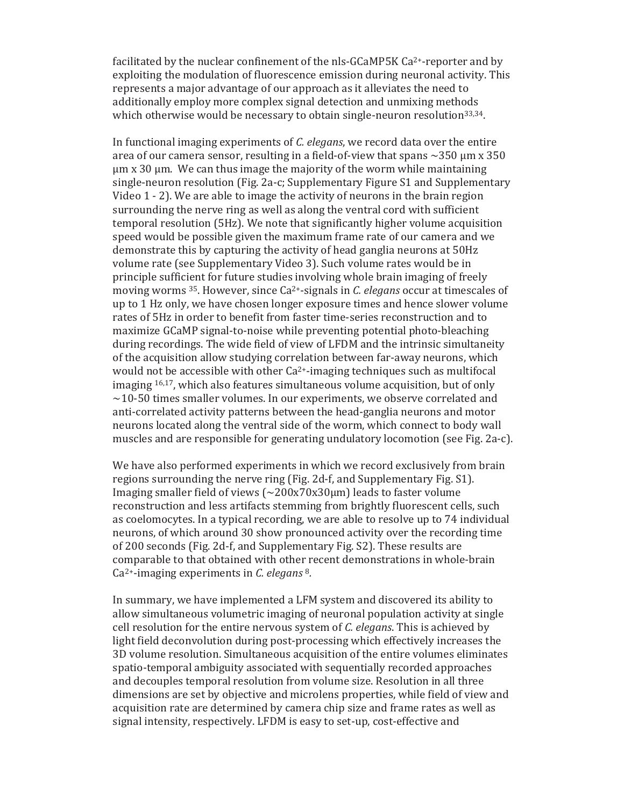facilitated by the nuclear confinement of the  $nls-GCaMP5K Ca<sup>2+</sup>$ -reporter and by exploiting the modulation of fluorescence emission during neuronal activity. This represents a major advantage of our approach as it alleviates the need to additionally employ more complex signal detection and unmixing methods which otherwise would be necessary to obtain single-neuron resolution<sup>33,34</sup>.

In functional imaging experiments of *C. elegans*, we record data over the entire area of our camera sensor, resulting in a field-of-view that spans  $\sim$ 350  $\mu$ m x 350 μm x 30 μm. We can thus image the majority of the worm while maintaining single-neuron resolution (Fig. 2a-c; Supplementary Figure S1 and Supplementary Video 1 - 2). We are able to image the activity of neurons in the brain region surrounding the nerve ring as well as along the ventral cord with sufficient temporal resolution (5Hz). We note that significantly higher volume acquisition speed would be possible given the maximum frame rate of our camera and we demonstrate this by capturing the activity of head ganglia neurons at 50Hz volume rate (see Supplementary Video 3). Such volume rates would be in principle sufficient for future studies involving whole brain imaging of freely moving worms 35. However, since Ca2+-signals in *C. elegans* occur at timescales of up to 1 Hz only, we have chosen longer exposure times and hence slower volume rates of 5Hz in order to benefit from faster time-series reconstruction and to maximize GCaMP signal-to-noise while preventing potential photo-bleaching during recordings. The wide field of view of LFDM and the intrinsic simultaneity of the acquisition allow studying correlation between far-away neurons, which would not be accessible with other  $Ca^{2+}$ -imaging techniques such as multifocal imaging 16,17, which also features simultaneous volume acquisition, but of only  $\sim$ 10-50 times smaller volumes. In our experiments, we observe correlated and anti-correlated activity patterns between the head-ganglia neurons and motor neurons located along the ventral side of the worm, which connect to body wall muscles and are responsible for generating undulatory locomotion (see Fig. 2a-c).

We have also performed experiments in which we record exclusively from brain regions surrounding the nerve ring (Fig. 2d-f, and Supplementary Fig. S1). Imaging smaller field of views (~200x70x30μm) leads to faster volume reconstruction and less artifacts stemming from brightly fluorescent cells, such as coelomocytes. In a typical recording, we are able to resolve up to 74 individual neurons, of which around 30 show pronounced activity over the recording time of 200 seconds (Fig. 2d-f, and Supplementary Fig. S2). These results are comparable to that obtained with other recent demonstrations in whole-brain Ca2+-imaging experiments in *C. elegans* 8*.*

In summary, we have implemented a LFM system and discovered its ability to allow simultaneous volumetric imaging of neuronal population activity at single cell resolution for the entire nervous system of *C. elegans*. This is achieved by light field deconvolution during post-processing which effectively increases the 3D volume resolution. Simultaneous acquisition of the entire volumes eliminates spatio-temporal ambiguity associated with sequentially recorded approaches and decouples temporal resolution from volume size. Resolution in all three dimensions are set by objective and microlens properties, while field of view and acquisition rate are determined by camera chip size and frame rates as well as signal intensity, respectively. LFDM is easy to set-up, cost-effective and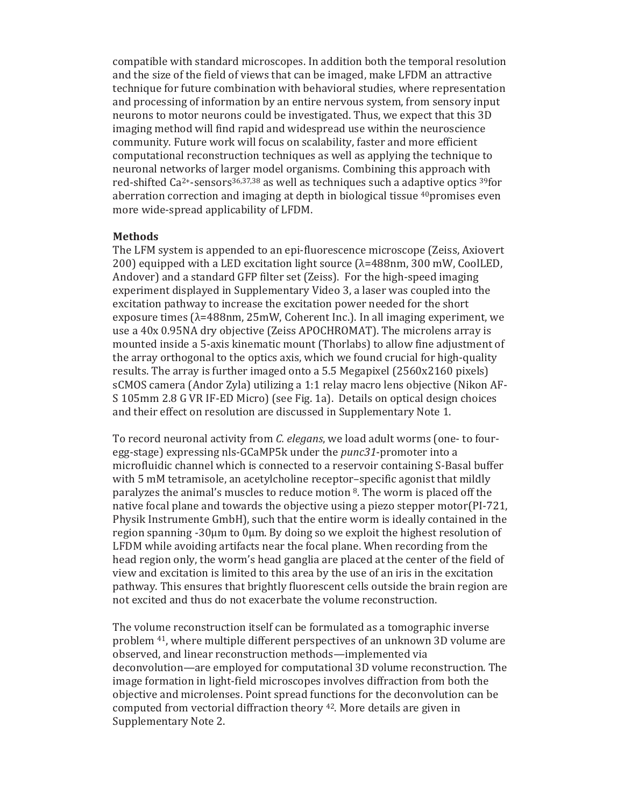compatible with standard microscopes. In addition both the temporal resolution and the size of the field of views that can be imaged, make LFDM an attractive technique for future combination with behavioral studies, where representation and processing of information by an entire nervous system, from sensory input neurons to motor neurons could be investigated. Thus, we expect that this 3D imaging method will find rapid and widespread use within the neuroscience community. Future work will focus on scalability, faster and more efficient computational reconstruction techniques as well as applying the technique to neuronal networks of larger model organisms. Combining this approach with red-shifted Ca<sup>2+</sup>-sensors<sup>36,37,38</sup> as well as techniques such a adaptive optics <sup>39</sup>for aberration correction and imaging at depth in biological tissue <sup>40</sup>promises even more wide-spread applicability of LFDM.

#### **Methods**

The LFM system is appended to an epi-fluorescence microscope (Zeiss, Axiovert 200) equipped with a LED excitation light source (λ=488nm, 300 mW, CoolLED, Andover) and a standard GFP filter set (Zeiss). For the high-speed imaging experiment displayed in Supplementary Video 3, a laser was coupled into the excitation pathway to increase the excitation power needed for the short exposure times (λ=488nm, 25mW, Coherent Inc.). In all imaging experiment, we use a 40x 0.95NA dry objective (Zeiss APOCHROMAT). The microlens array is mounted inside a 5-axis kinematic mount (Thorlabs) to allow fine adjustment of the array orthogonal to the optics axis, which we found crucial for high-quality results. The array is further imaged onto a 5.5 Megapixel (2560x2160 pixels) sCMOS camera (Andor Zyla) utilizing a 1:1 relay macro lens objective (Nikon AF-S 105mm 2.8 G VR IF-ED Micro) (see Fig. 1a). Details on optical design choices and their effect on resolution are discussed in Supplementary Note 1.

To record neuronal activity from *C. elegans*, we load adult worms (one- to fouregg-stage) expressing nls-GCaMP5k under the *punc31*-promoter into a microfluidic channel which is connected to a reservoir containing S-Basal buffer with 5 mM tetramisole, an acetylcholine receptor–specific agonist that mildly paralyzes the animal's muscles to reduce motion 8*.* The worm is placed off the native focal plane and towards the objective using a piezo stepper motor(PI-721, Physik Instrumente GmbH), such that the entire worm is ideally contained in the region spanning -30μm to 0μm. By doing so we exploit the highest resolution of LFDM while avoiding artifacts near the focal plane. When recording from the head region only, the worm's head ganglia are placed at the center of the field of view and excitation is limited to this area by the use of an iris in the excitation pathway. This ensures that brightly fluorescent cells outside the brain region are not excited and thus do not exacerbate the volume reconstruction.

The volume reconstruction itself can be formulated as a tomographic inverse problem 41, where multiple different perspectives of an unknown 3D volume are observed, and linear reconstruction methods—implemented via deconvolution—are employed for computational 3D volume reconstruction. The image formation in light-field microscopes involves diffraction from both the objective and microlenses. Point spread functions for the deconvolution can be computed from vectorial diffraction theory 42. More details are given in Supplementary Note 2.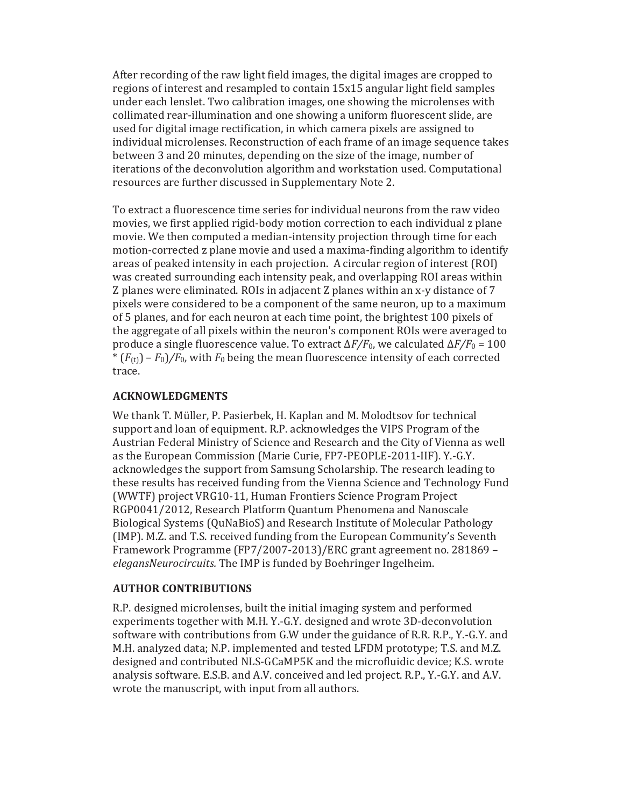After recording of the raw light field images, the digital images are cropped to regions of interest and resampled to contain 15x15 angular light field samples under each lenslet. Two calibration images, one showing the microlenses with collimated rear-illumination and one showing a uniform fluorescent slide, are used for digital image rectification, in which camera pixels are assigned to individual microlenses. Reconstruction of each frame of an image sequence takes between 3 and 20 minutes, depending on the size of the image, number of iterations of the deconvolution algorithm and workstation used. Computational resources are further discussed in Supplementary Note 2.

To extract a fluorescence time series for individual neurons from the raw video movies, we first applied rigid-body motion correction to each individual z plane movie. We then computed a median-intensity projection through time for each motion-corrected z plane movie and used a maxima-finding algorithm to identify areas of peaked intensity in each projection. A circular region of interest (ROI) was created surrounding each intensity peak, and overlapping ROI areas within Z planes were eliminated. ROIs in adjacent Z planes within an x-y distance of 7 pixels were considered to be a component of the same neuron, up to a maximum of 5 planes, and for each neuron at each time point, the brightest 100 pixels of the aggregate of all pixels within the neuron's component ROIs were averaged to produce a single fluorescence value. To extract Δ*F/F*0, we calculated Δ*F/F*0 = 100  $*(F_{(t)}) - F_0$ / $F_0$ , with  $F_0$  being the mean fluorescence intensity of each corrected trace.

#### **ACKNOWLEDGMENTS**

We thank T. Müller, P. Pasierbek, H. Kaplan and M. Molodtsov for technical support and loan of equipment. R.P. acknowledges the VIPS Program of the Austrian Federal Ministry of Science and Research and the City of Vienna as well as the European Commission (Marie Curie, FP7-PEOPLE-2011-IIF). Y.-G.Y. acknowledges the support from Samsung Scholarship. The research leading to these results has received funding from the Vienna Science and Technology Fund (WWTF) project VRG10-11, Human Frontiers Science Program Project RGP0041/2012, Research Platform Quantum Phenomena and Nanoscale Biological Systems (QuNaBioS) and Research Institute of Molecular Pathology (IMP). M.Z. and T.S. received funding from the European Community's Seventh Framework Programme (FP7/2007-2013)/ERC grant agreement no. 281869 – *elegansNeurocircuits.* The IMP is funded by Boehringer Ingelheim.

#### **AUTHOR CONTRIBUTIONS**

R.P. designed microlenses, built the initial imaging system and performed experiments together with M.H. Y.-G.Y. designed and wrote 3D-deconvolution software with contributions from G.W under the guidance of R.R. R.P., Y.-G.Y. and M.H. analyzed data; N.P. implemented and tested LFDM prototype; T.S. and M.Z. designed and contributed NLS-GCaMP5K and the microfluidic device; K.S. wrote analysis software. E.S.B. and A.V. conceived and led project. R.P., Y.-G.Y. and A.V. wrote the manuscript, with input from all authors.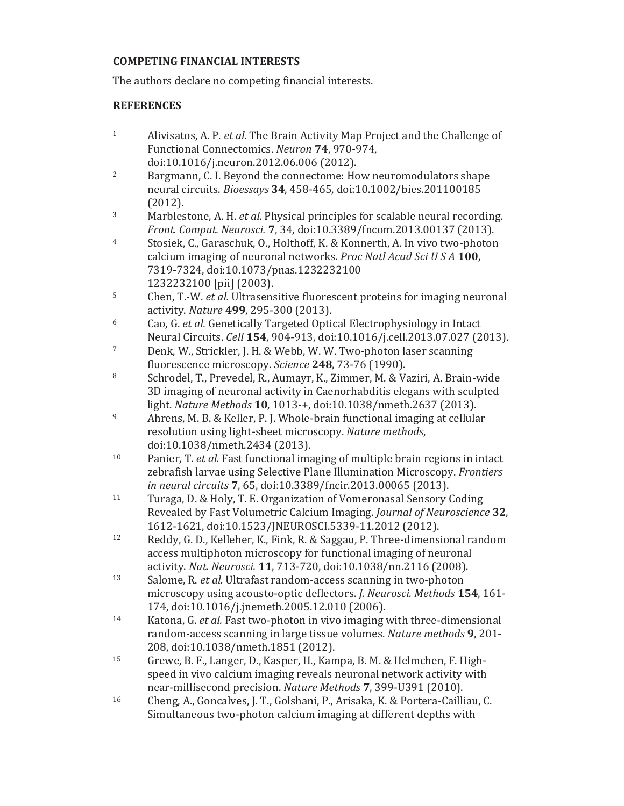# **COMPETING FINANCIAL INTERESTS**

The authors declare no competing financial interests.

# **REFERENCES**

- 1 Alivisatos, A. P. *et al.* The Brain Activity Map Project and the Challenge of Functional Connectomics. *Neuron* **74**, 970-974, doi:10.1016/j.neuron.2012.06.006 (2012).
- <sup>2</sup> Bargmann, C. I. Beyond the connectome: How neuromodulators shape neural circuits. *Bioessays* **34**, 458-465, doi:10.1002/bies.201100185 (2012).
- 3 Marblestone, A. H. *et al.* Physical principles for scalable neural recording. *Front. Comput. Neurosci.* **7**, 34, doi:10.3389/fncom.2013.00137 (2013).
- 4 Stosiek, C., Garaschuk, O., Holthoff, K. & Konnerth, A. In vivo two-photon calcium imaging of neuronal networks. *Proc Natl Acad Sci U S A* **100**, 7319-7324, doi:10.1073/pnas.1232232100 1232232100 [pii] (2003).
- 5 Chen, T.-W. *et al.* Ultrasensitive fluorescent proteins for imaging neuronal activity. *Nature* **499**, 295-300 (2013).
- 6 Cao, G. *et al.* Genetically Targeted Optical Electrophysiology in Intact Neural Circuits. *Cell* **154**, 904-913, doi:10.1016/j.cell.2013.07.027 (2013).
- 7 Denk, W., Strickler, J. H. & Webb, W. W. Two-photon laser scanning fluorescence microscopy. *Science* **248**, 73-76 (1990).
- 8 Schrodel, T., Prevedel, R., Aumayr, K., Zimmer, M. & Vaziri, A. Brain-wide 3D imaging of neuronal activity in Caenorhabditis elegans with sculpted light. *Nature Methods* **10**, 1013-+, doi:10.1038/nmeth.2637 (2013).
- 9 Ahrens, M. B. & Keller, P. J. Whole-brain functional imaging at cellular resolution using light-sheet microscopy. *Nature methods*, doi:10.1038/nmeth.2434 (2013).
- 10 Panier, T. *et al.* Fast functional imaging of multiple brain regions in intact zebrafish larvae using Selective Plane Illumination Microscopy. *Frontiers in neural circuits* **7**, 65, doi:10.3389/fncir.2013.00065 (2013).
- 11 Turaga, D. & Holy, T. E. Organization of Vomeronasal Sensory Coding Revealed by Fast Volumetric Calcium Imaging. *Journal of Neuroscience* **32**, 1612-1621, doi:10.1523/JNEUROSCI.5339-11.2012 (2012).
- 12 Reddy, G. D., Kelleher, K., Fink, R. & Saggau, P. Three-dimensional random access multiphoton microscopy for functional imaging of neuronal activity. *Nat. Neurosci.* **11**, 713-720, doi:10.1038/nn.2116 (2008).
- 13 Salome, R. *et al.* Ultrafast random-access scanning in two-photon microscopy using acousto-optic deflectors. *J. Neurosci. Methods* **154**, 161- 174, doi:10.1016/j.jnemeth.2005.12.010 (2006).
- 14 Katona, G. *et al.* Fast two-photon in vivo imaging with three-dimensional random-access scanning in large tissue volumes. *Nature methods* **9**, 201- 208, doi:10.1038/nmeth.1851 (2012).
- 15 Grewe, B. F., Langer, D., Kasper, H., Kampa, B. M. & Helmchen, F. Highspeed in vivo calcium imaging reveals neuronal network activity with near-millisecond precision. *Nature Methods* **7**, 399-U391 (2010).
- 16 Cheng, A., Goncalves, J. T., Golshani, P., Arisaka, K. & Portera-Cailliau, C. Simultaneous two-photon calcium imaging at different depths with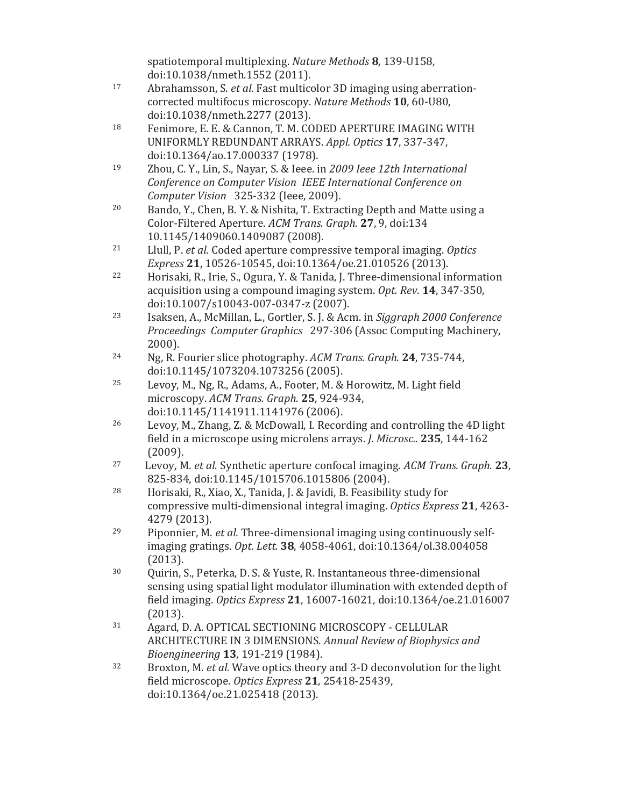spatiotemporal multiplexing. *Nature Methods* **8**, 139-U158, doi:10.1038/nmeth.1552 (2011).

- 17 Abrahamsson, S. *et al.* Fast multicolor 3D imaging using aberrationcorrected multifocus microscopy. *Nature Methods* **10**, 60-U80, doi:10.1038/nmeth.2277 (2013).
- 18 Fenimore, E. E. & Cannon, T. M. CODED APERTURE IMAGING WITH UNIFORMLY REDUNDANT ARRAYS. *Appl. Optics* **17**, 337-347, doi:10.1364/ao.17.000337 (1978).
- 19 Zhou, C. Y., Lin, S., Nayar, S. & Ieee. in *2009 Ieee 12th International Conference on Computer Vision IEEE International Conference on Computer Vision* 325-332 (Ieee, 2009).
- 20 Bando, Y., Chen, B. Y. & Nishita, T. Extracting Depth and Matte using a Color-Filtered Aperture. *ACM Trans. Graph.* **27**, 9, doi:134 10.1145/1409060.1409087 (2008).
- 21 Llull, P. *et al.* Coded aperture compressive temporal imaging. *Optics Express* **21**, 10526-10545, doi:10.1364/oe.21.010526 (2013).
- 22 Horisaki, R., Irie, S., Ogura, Y. & Tanida, J. Three-dimensional information acquisition using a compound imaging system. *Opt. Rev.* **14**, 347-350, doi:10.1007/s10043-007-0347-z (2007).
- 23 Isaksen, A., McMillan, L., Gortler, S. J. & Acm. in *Siggraph 2000 Conference Proceedings Computer Graphics* 297-306 (Assoc Computing Machinery, 2000).
- 24 Ng, R. Fourier slice photography. *ACM Trans. Graph.* **24**, 735-744, doi:10.1145/1073204.1073256 (2005).
- 25 Levoy, M., Ng, R., Adams, A., Footer, M. & Horowitz, M. Light field microscopy. *ACM Trans. Graph.* **25**, 924-934, doi:10.1145/1141911.1141976 (2006).
- 26 Levoy, M., Zhang, Z. & McDowall, I. Recording and controlling the 4D light field in a microscope using microlens arrays. *J. Microsc..* **235**, 144-162 (2009).
- 27 Levoy, M. *et al.* Synthetic aperture confocal imaging. *ACM Trans. Graph.* **23**, 825-834, doi:10.1145/1015706.1015806 (2004).
- 28 Horisaki, R., Xiao, X., Tanida, J. & Javidi, B. Feasibility study for compressive multi-dimensional integral imaging. *Optics Express* **21**, 4263- 4279 (2013).
- 29 Piponnier, M. *et al.* Three-dimensional imaging using continuously selfimaging gratings. *Opt. Lett.* **38**, 4058-4061, doi:10.1364/ol.38.004058 (2013).
- 30 Quirin, S., Peterka, D. S. & Yuste, R. Instantaneous three-dimensional sensing using spatial light modulator illumination with extended depth of field imaging. *Optics Express* **21**, 16007-16021, doi:10.1364/oe.21.016007 (2013).
- 31 Agard, D. A. OPTICAL SECTIONING MICROSCOPY CELLULAR ARCHITECTURE IN 3 DIMENSIONS. *Annual Review of Biophysics and Bioengineering* **13**, 191-219 (1984).
- 32 Broxton, M. *et al.* Wave optics theory and 3-D deconvolution for the light field microscope. *Optics Express* **21**, 25418-25439, doi:10.1364/oe.21.025418 (2013).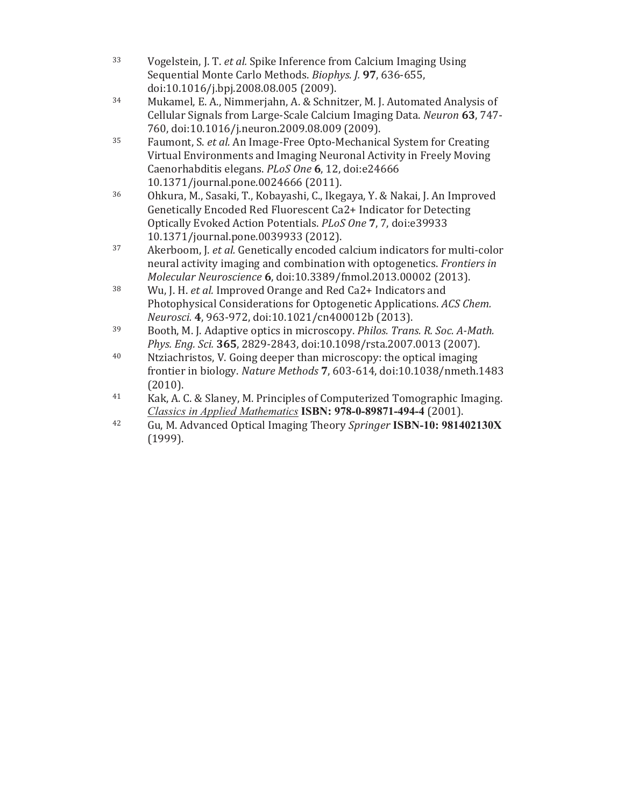- 33 Vogelstein, J. T. *et al.* Spike Inference from Calcium Imaging Using Sequential Monte Carlo Methods. *Biophys. J.* **97**, 636-655, doi:10.1016/j.bpj.2008.08.005 (2009).
- 34 Mukamel, E. A., Nimmerjahn, A. & Schnitzer, M. J. Automated Analysis of Cellular Signals from Large-Scale Calcium Imaging Data. *Neuron* **63**, 747- 760, doi:10.1016/j.neuron.2009.08.009 (2009).
- 35 Faumont, S. *et al.* An Image-Free Opto-Mechanical System for Creating Virtual Environments and Imaging Neuronal Activity in Freely Moving Caenorhabditis elegans. *PLoS One* **6**, 12, doi:e24666 10.1371/journal.pone.0024666 (2011).
- 36 Ohkura, M., Sasaki, T., Kobayashi, C., Ikegaya, Y. & Nakai, J. An Improved Genetically Encoded Red Fluorescent Ca2+ Indicator for Detecting Optically Evoked Action Potentials. *PLoS One* **7**, 7, doi:e39933 10.1371/journal.pone.0039933 (2012).
- 37 Akerboom, J. *et al.* Genetically encoded calcium indicators for multi-color neural activity imaging and combination with optogenetics. *Frontiers in Molecular Neuroscience* **6**, doi:10.3389/fnmol.2013.00002 (2013).
- 38 Wu, J. H. *et al.* Improved Orange and Red Ca2+ Indicators and Photophysical Considerations for Optogenetic Applications. *ACS Chem. Neurosci.* **4**, 963-972, doi:10.1021/cn400012b (2013).
- 39 Booth, M. J. Adaptive optics in microscopy. *Philos. Trans. R. Soc. A-Math. Phys. Eng. Sci.* **365**, 2829-2843, doi:10.1098/rsta.2007.0013 (2007).
- 40 Ntziachristos, V. Going deeper than microscopy: the optical imaging frontier in biology. *Nature Methods* **7**, 603-614, doi:10.1038/nmeth.1483 (2010).
- 41 Kak, A. C. & Slaney, M. Principles of Computerized Tomographic Imaging. *Classics in Applied Mathematics* **ISBN: 978-0-89871-494-4** (2001).
- 42 Gu, M. Advanced Optical Imaging Theory *Springer* **ISBN-10: 981402130X**  (1999).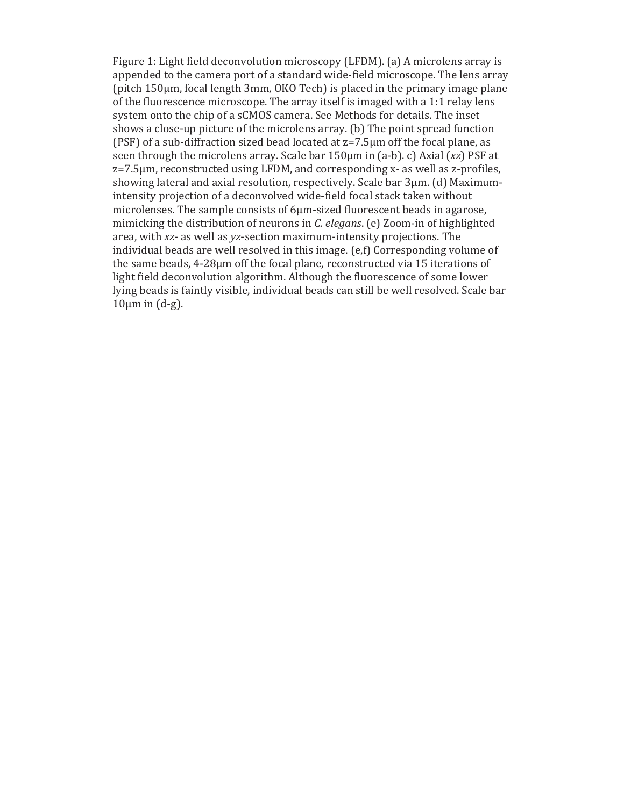Figure 1: Light field deconvolution microscopy (LFDM). (a) A microlens array is appended to the camera port of a standard wide-field microscope. The lens array  $\mu$  (pitch 150 $\mu$ m, focal length 3mm, OKO Tech) is placed in the primary image plane of the fluorescence microscope. The array itself is imaged with a 1:1 relay lens system onto the chip of a sCMOS camera. See Methods for details. The inset shows a close-up picture of the microlens array. (b) The point spread function (PSF) of a sub-diffraction sized bead located at z=7.5μm off the focal plane, as seen through the microlens array. Scale bar 150μm in (a-b). c) Axial (*xz*) PSF at z=7.5μm, reconstructed using LFDM, and corresponding x- as well as z-profiles, showing lateral and axial resolution, respectively. Scale bar 3μm. (d) Maximumintensity projection of a deconvolved wide-field focal stack taken without microlenses. The sample consists of 6μm-sized fluorescent beads in agarose, mimicking the distribution of neurons in *C. elegans*. (e) Zoom-in of highlighted area, with *xz*- as well as *yz*-section maximum-intensity projections. The individual beads are well resolved in this image. (e,f) Corresponding volume of the same beads, 4-28μm off the focal plane, reconstructed via 15 iterations of light field deconvolution algorithm. Although the fluorescence of some lower lying beads is faintly visible, individual beads can still be well resolved. Scale bar  $10 \mu m$  in  $(d-g)$ .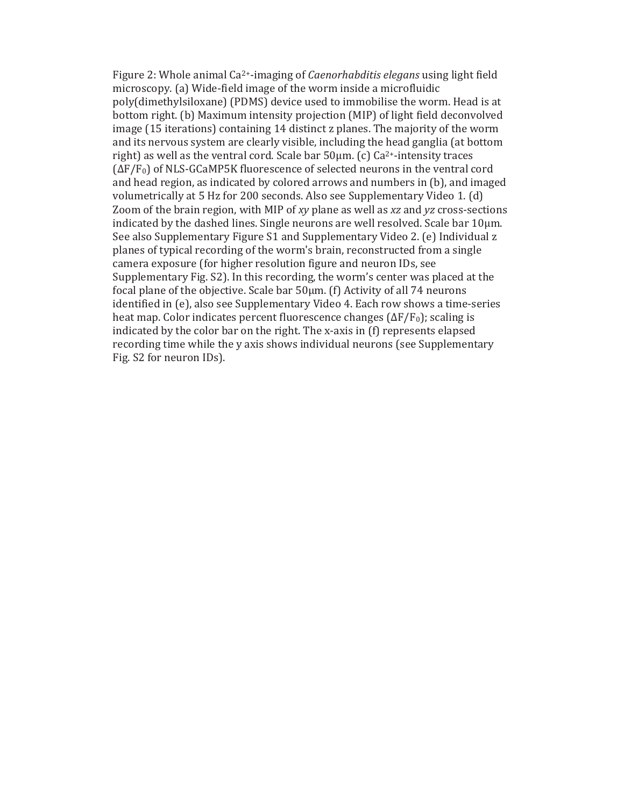Figure 2: Whole animal Ca2+-imaging of *Caenorhabditis elegans* using light field microscopy. (a) Wide-field image of the worm inside a microfluidic poly(dimethylsiloxane) (PDMS) device used to immobilise the worm. Head is at bottom right. (b) Maximum intensity projection (MIP) of light field deconvolved image (15 iterations) containing 14 distinct z planes. The majority of the worm and its nervous system are clearly visible, including the head ganglia (at bottom right) as well as the ventral cord. Scale bar  $50\mu$ m. (c) Ca<sup>2+</sup>-intensity traces  $(\Delta F/F_0)$  of NLS-GCaMP5K fluorescence of selected neurons in the ventral cord and head region, as indicated by colored arrows and numbers in (b), and imaged volumetrically at 5 Hz for 200 seconds. Also see Supplementary Video 1. (d) Zoom of the brain region, with MIP of *xy* plane as well as *xz* and *yz* cross-sections indicated by the dashed lines. Single neurons are well resolved. Scale bar 10μm. See also Supplementary Figure S1 and Supplementary Video 2. (e) Individual z planes of typical recording of the worm's brain, reconstructed from a single camera exposure (for higher resolution figure and neuron IDs, see Supplementary Fig. S2). In this recording, the worm's center was placed at the focal plane of the objective. Scale bar 50μm. (f) Activity of all 74 neurons identified in (e), also see Supplementary Video 4. Each row shows a time-series heat map. Color indicates percent fluorescence changes  $(\Delta F/F_0)$ ; scaling is indicated by the color bar on the right. The x-axis in (f) represents elapsed recording time while the y axis shows individual neurons (see Supplementary Fig. S2 for neuron IDs).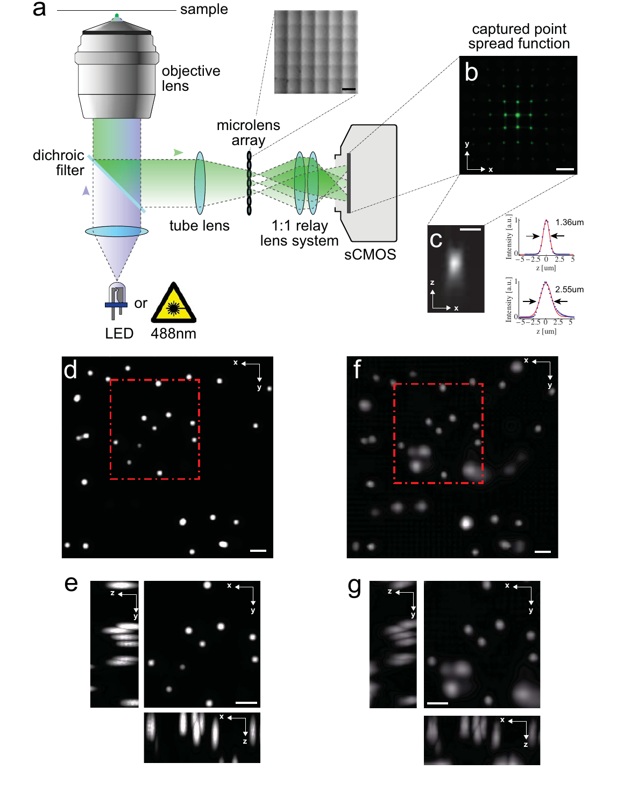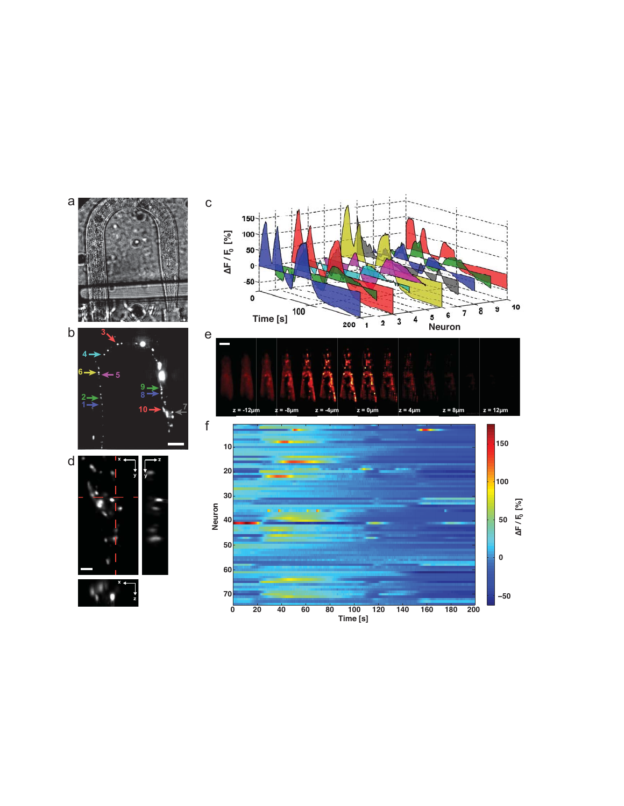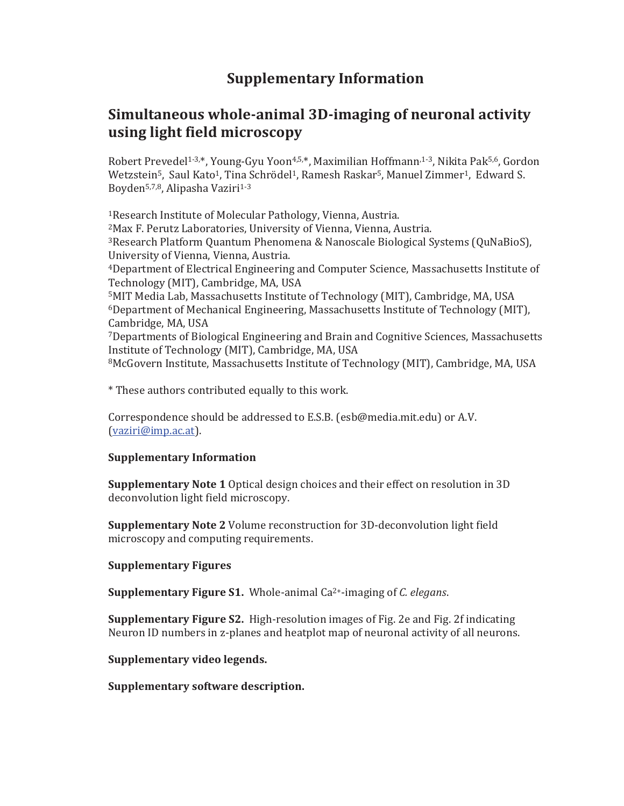# **Supplementary Information**

# **Simultaneous whole-animal 3D-imaging of neuronal activity using light field microscopy**

Robert Prevedel<sup>1-3,\*</sup>, Young-Gyu Yoon<sup>4,5,\*</sup>, Maximilian Hoffmann<sup>,1-3</sup>, Nikita Pak<sup>5,6</sup>, Gordon Wetzstein<sup>5</sup>, Saul Kato<sup>1</sup>, Tina Schrödel<sup>1</sup>, Ramesh Raskar<sup>5</sup>, Manuel Zimmer<sup>1</sup>, Edward S. Boyden<sup>5,7,8</sup>, Alipasha Vaziri<sup>1-3</sup>

1Research Institute of Molecular Pathology, Vienna, Austria. 2Max F. Perutz Laboratories, University of Vienna, Vienna, Austria. 3Research Platform Quantum Phenomena & Nanoscale Biological Systems (QuNaBioS), University of Vienna, Vienna, Austria. 4Department of Electrical Engineering and Computer Science, Massachusetts Institute of Technology (MIT), Cambridge, MA, USA 5MIT Media Lab, Massachusetts Institute of Technology (MIT), Cambridge, MA, USA 6Department of Mechanical Engineering, Massachusetts Institute of Technology (MIT), Cambridge, MA, USA 7Departments of Biological Engineering and Brain and Cognitive Sciences, Massachusetts Institute of Technology (MIT), Cambridge, MA, USA 8McGovern Institute, Massachusetts Institute of Technology (MIT), Cambridge, MA, USA

\* These authors contributed equally to this work.

Correspondence should be addressed to E.S.B. (esb@media.mit.edu) or A.V. (vaziri@imp.ac.at).

# **Supplementary Information**

**Supplementary Note 1** Optical design choices and their effect on resolution in 3D deconvolution light field microscopy.

**Supplementary Note 2** Volume reconstruction for 3D-deconvolution light field microscopy and computing requirements.

# **Supplementary Figures**

**Supplementary Figure S1.** Whole-animal Ca2+-imaging of *C. elegans*.

**Supplementary Figure S2.** High-resolution images of Fig. 2e and Fig. 2f indicating Neuron ID numbers in z-planes and heatplot map of neuronal activity of all neurons.

**Supplementary video legends.** 

**Supplementary software description.**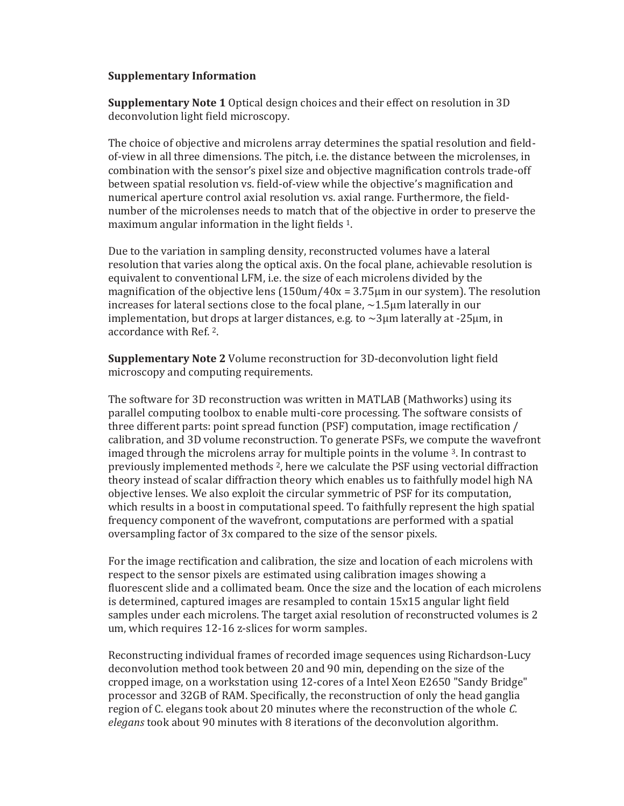#### **Supplementary Information**

**Supplementary Note 1** Optical design choices and their effect on resolution in 3D deconvolution light field microscopy.

The choice of objective and microlens array determines the spatial resolution and fieldof-view in all three dimensions. The pitch, i.e. the distance between the microlenses, in combination with the sensor's pixel size and objective magnification controls trade-off between spatial resolution vs. field-of-view while the objective's magnification and numerical aperture control axial resolution vs. axial range. Furthermore, the fieldnumber of the microlenses needs to match that of the objective in order to preserve the maximum angular information in the light fields 1.

Due to the variation in sampling density, reconstructed volumes have a lateral resolution that varies along the optical axis. On the focal plane, achievable resolution is equivalent to conventional LFM, i.e. the size of each microlens divided by the magnification of the objective lens  $(150 \text{um}/40 \text{x} = 3.75 \text{µm}$  in our system). The resolution increases for lateral sections close to the focal plane,  $\sim$ 1.5 $\mu$ m laterally in our implementation, but drops at larger distances, e.g. to  $\sim$ 3µm laterally at -25µm, in accordance with Ref. 2.

**Supplementary Note 2** Volume reconstruction for 3D-deconvolution light field microscopy and computing requirements.

The software for 3D reconstruction was written in MATLAB (Mathworks) using its parallel computing toolbox to enable multi-core processing. The software consists of three different parts: point spread function (PSF) computation, image rectification / calibration, and 3D volume reconstruction. To generate PSFs, we compute the wavefront imaged through the microlens array for multiple points in the volume 3. In contrast to previously implemented methods 2, here we calculate the PSF using vectorial diffraction theory instead of scalar diffraction theory which enables us to faithfully model high NA objective lenses. We also exploit the circular symmetric of PSF for its computation, which results in a boost in computational speed. To faithfully represent the high spatial frequency component of the wavefront, computations are performed with a spatial oversampling factor of 3x compared to the size of the sensor pixels.

For the image rectification and calibration, the size and location of each microlens with respect to the sensor pixels are estimated using calibration images showing a fluorescent slide and a collimated beam. Once the size and the location of each microlens is determined, captured images are resampled to contain 15x15 angular light field samples under each microlens. The target axial resolution of reconstructed volumes is 2 um, which requires 12-16 z-slices for worm samples.

Reconstructing individual frames of recorded image sequences using Richardson-Lucy deconvolution method took between 20 and 90 min, depending on the size of the cropped image, on a workstation using 12-cores of a Intel Xeon E2650 "Sandy Bridge" processor and 32GB of RAM. Specifically, the reconstruction of only the head ganglia region of C. elegans took about 20 minutes where the reconstruction of the whole *C. elegans* took about 90 minutes with 8 iterations of the deconvolution algorithm.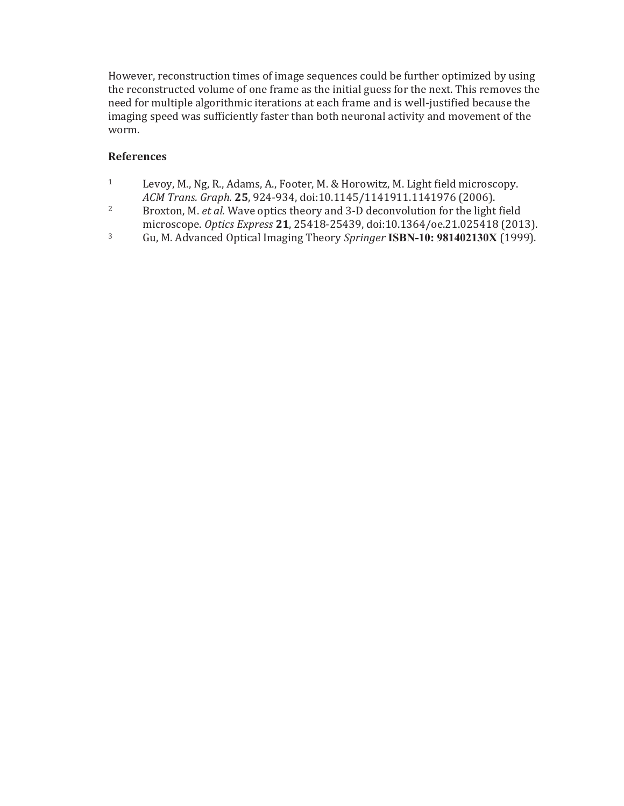However, reconstruction times of image sequences could be further optimized by using the reconstructed volume of one frame as the initial guess for the next. This removes the need for multiple algorithmic iterations at each frame and is well-justified because the imaging speed was sufficiently faster than both neuronal activity and movement of the worm.

# **References**

- 1 Levoy, M., Ng, R., Adams, A., Footer, M. & Horowitz, M. Light field microscopy. *ACM Trans. Graph.* **25**, 924-934, doi:10.1145/1141911.1141976 (2006).
- 2 Broxton, M. *et al.* Wave optics theory and 3-D deconvolution for the light field microscope. *Optics Express* **21**, 25418-25439, doi:10.1364/oe.21.025418 (2013).
- 3 Gu, M. Advanced Optical Imaging Theory *Springer* **ISBN-10: 981402130X** (1999).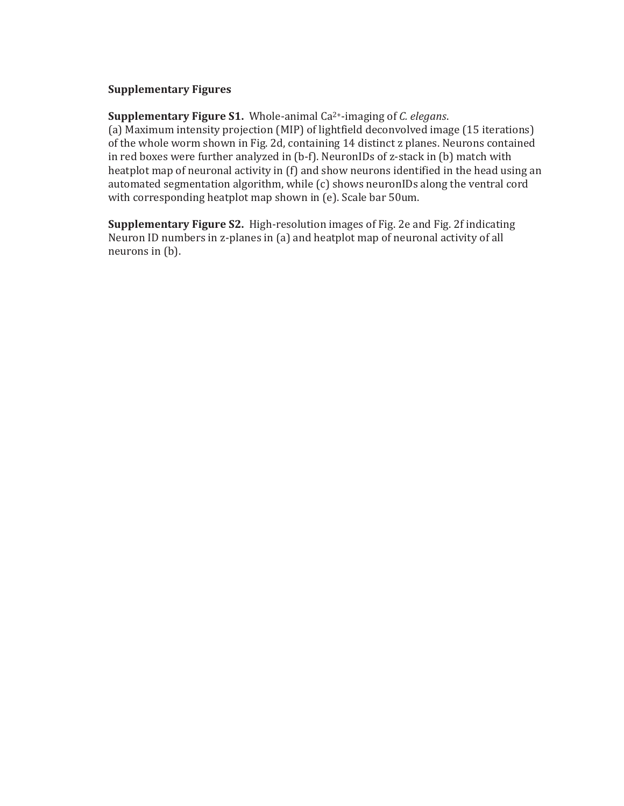# **Supplementary Figures**

**Supplementary Figure S1.** Whole-animal Ca2+-imaging of *C. elegans*. (a) Maximum intensity projection (MIP) of lightfield deconvolved image (15 iterations) of the whole worm shown in Fig. 2d, containing 14 distinct z planes. Neurons contained in red boxes were further analyzed in (b-f). NeuronIDs of z-stack in (b) match with heatplot map of neuronal activity in (f) and show neurons identified in the head using an automated segmentation algorithm, while (c) shows neuronIDs along the ventral cord with corresponding heatplot map shown in (e). Scale bar 50um.

**Supplementary Figure S2.** High-resolution images of Fig. 2e and Fig. 2f indicating Neuron ID numbers in z-planes in (a) and heatplot map of neuronal activity of all neurons in (b).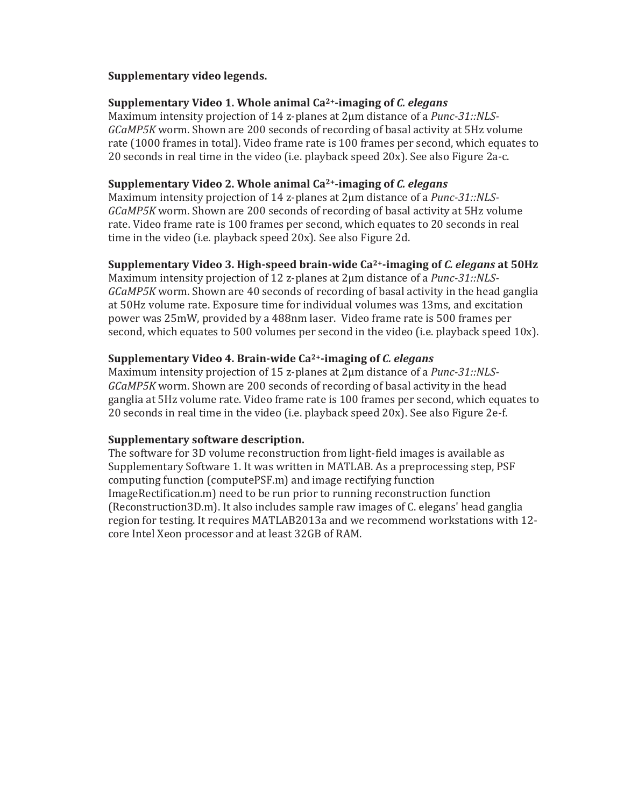# **Supplementary video legends.**

# **Supplementary Video 1. Whole animal Ca2+-imaging of** *C. elegans*

Maximum intensity projection of 14 z-planes at 2μm distance of a *Punc-31::NLS-GCaMP5K* worm. Shown are 200 seconds of recording of basal activity at 5Hz volume rate (1000 frames in total). Video frame rate is 100 frames per second, which equates to 20 seconds in real time in the video (i.e. playback speed 20x). See also Figure 2a-c.

# **Supplementary Video 2. Whole animal Ca2+-imaging of** *C. elegans*

Maximum intensity projection of 14 z-planes at 2μm distance of a *Punc-31::NLS-GCaMP5K* worm. Shown are 200 seconds of recording of basal activity at 5Hz volume rate. Video frame rate is 100 frames per second, which equates to 20 seconds in real time in the video (i.e. playback speed 20x). See also Figure 2d.

# **Supplementary Video 3. High-speed brain-wide Ca2+-imaging of** *C. elegans* **at 50Hz**

Maximum intensity projection of 12 z-planes at 2μm distance of a *Punc-31::NLS-GCaMP5K* worm. Shown are 40 seconds of recording of basal activity in the head ganglia at 50Hz volume rate. Exposure time for individual volumes was 13ms, and excitation power was 25mW, provided by a 488nm laser. Video frame rate is 500 frames per second, which equates to 500 volumes per second in the video (i.e. playback speed 10x).

# **Supplementary Video 4. Brain-wide Ca2+-imaging of** *C. elegans*

Maximum intensity projection of 15 z-planes at 2μm distance of a *Punc-31::NLS-GCaMP5K* worm. Shown are 200 seconds of recording of basal activity in the head ganglia at 5Hz volume rate. Video frame rate is 100 frames per second, which equates to 20 seconds in real time in the video (i.e. playback speed 20x). See also Figure 2e-f.

# **Supplementary software description.**

The software for 3D volume reconstruction from light-field images is available as Supplementary Software 1. It was written in MATLAB. As a preprocessing step, PSF computing function (computePSF.m) and image rectifying function ImageRectification.m) need to be run prior to running reconstruction function (Reconstruction3D.m). It also includes sample raw images of C. elegans' head ganglia region for testing. It requires MATLAB2013a and we recommend workstations with 12 core Intel Xeon processor and at least 32GB of RAM.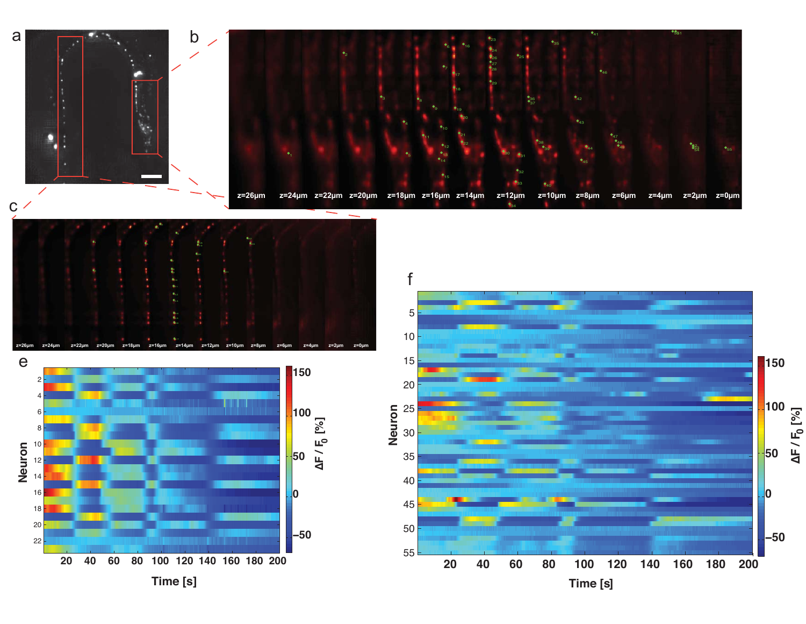